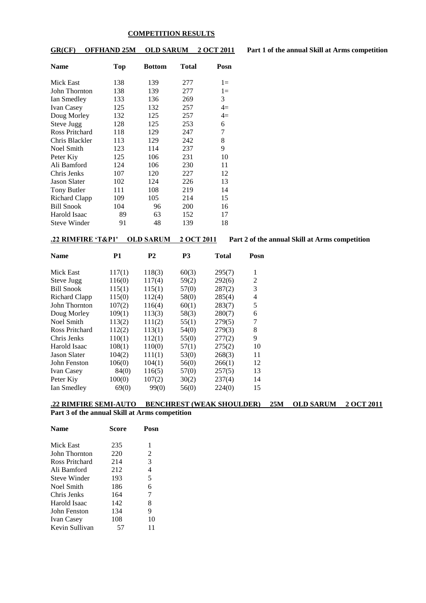#### **COMPETITION RESULTS**

**GR(CF) OFFHAND 25M OLD SARUM 2 OCT 2011 Part 1 of the annual Skill at Arms competition**

| <b>Name</b>         | <b>Top</b> | <b>Bottom</b> | Total | Posn  |
|---------------------|------------|---------------|-------|-------|
| Mick East           | 138        | 139           | 277   | $1 =$ |
| John Thornton       | 138        | 139           | 277   | $1 =$ |
| Ian Smedley         | 133        | 136           | 269   | 3     |
| <b>Ivan Casey</b>   | 125        | 132           | 257   | $4=$  |
| Doug Morley         | 132        | 125           | 257   | $4=$  |
| Steve Jugg          | 128        | 125           | 253   | 6     |
| Ross Pritchard      | 118        | 129           | 247   | 7     |
| Chris Blackler      | 113        | 129           | 242   | 8     |
| Noel Smith          | 123        | 114           | 237   | 9     |
| Peter Kiy           | 125        | 106           | 231   | 10    |
| Ali Bamford         | 124        | 106           | 230   | 11    |
| Chris Jenks         | 107        | 120           | 227   | 12    |
| <b>Jason Slater</b> | 102        | 124           | 226   | 13    |
| Tony Butler         | 111        | 108           | 219   | 14    |
| Richard Clapp       | 109        | 105           | 214   | 15    |
| <b>Bill Snook</b>   | 104        | 96            | 200   | 16    |
| Harold Isaac        | 89         | 63            | 152   | 17    |
| <b>Steve Winder</b> | 91         | 48            | 139   | 18    |

**.22 RIMFIRE 'T&P1' OLD SARUM 2 OCT 2011 Part 2 of the annual Skill at Arms competition**

| <b>Name</b>         | <b>P1</b> | <b>P2</b> | <b>P3</b> | Total  | Posn |
|---------------------|-----------|-----------|-----------|--------|------|
| Mick East           | 117(1)    | 118(3)    | 60(3)     | 295(7) | 1    |
| Steve Jugg          | 116(0)    | 117(4)    | 59(2)     | 292(6) | 2    |
| <b>Bill Snook</b>   | 115(1)    | 115(1)    | 57(0)     | 287(2) | 3    |
| Richard Clapp       | 115(0)    | 112(4)    | 58(0)     | 285(4) | 4    |
| John Thornton       | 107(2)    | 116(4)    | 60(1)     | 283(7) | 5    |
| Doug Morley         | 109(1)    | 113(3)    | 58(3)     | 280(7) | 6    |
| Noel Smith          | 113(2)    | 111(2)    | 55(1)     | 279(5) | 7    |
| Ross Pritchard      | 112(2)    | 113(1)    | 54(0)     | 279(3) | 8    |
| Chris Jenks         | 110(1)    | 112(1)    | 55(0)     | 277(2) | 9    |
| Harold Isaac        | 108(1)    | 110(0)    | 57(1)     | 275(2) | 10   |
| <b>Jason Slater</b> | 104(2)    | 111(1)    | 53(0)     | 268(3) | 11   |
| John Fenston        | 106(0)    | 104(1)    | 56(0)     | 266(1) | 12   |
| <b>Ivan Casey</b>   | 84(0)     | 116(5)    | 57(0)     | 257(5) | 13   |
| Peter Kiy           | 100(0)    | 107(2)    | 30(2)     | 237(4) | 14   |
| Ian Smedley         | 69(0)     | 99(0)     | 56(0)     | 224(0) | 15   |

**.22 RIMFIRE SEMI-AUTO BENCHREST (WEAK SHOULDER) 25M OLD SARUM 2 OCT 2011 Part 3 of the annual Skill at Arms competition**

| <b>Name</b>       | Score | Posn |  |
|-------------------|-------|------|--|
| Mick East         | 235   | 1    |  |
| John Thornton     | 220   | 2    |  |
| Ross Pritchard    | 214   | 3    |  |
| Ali Bamford       | 212   | 4    |  |
| Steve Winder      | 193   | 5    |  |
| Noel Smith        | 186   | 6    |  |
| Chris Jenks       | 164   | 7    |  |
| Harold Isaac      | 142   | 8    |  |
| John Fenston      | 134   | 9    |  |
| <b>Ivan Casey</b> | 108   | 10   |  |
| Kevin Sullivan    | 57    | 11   |  |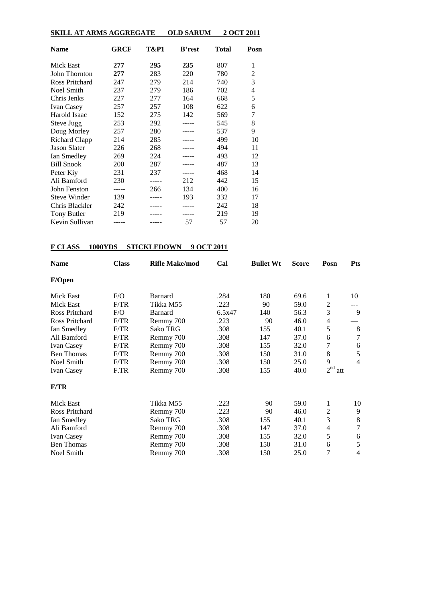| <b>SKILL AT ARMS AGGREGATE</b> |      |       | <b>OLD SARUM</b> |       | 2 OCT 2011 |
|--------------------------------|------|-------|------------------|-------|------------|
| <b>Name</b>                    | GRCF | T&P1  | <b>B</b> 'rest   | Total | Posn       |
| <b>Mick East</b>               | 277  | 295   | 235              | 807   | 1          |
| John Thornton                  | 277  | 283   | 220              | 780   | 2          |
| Ross Pritchard                 | 247  | 279   | 214              | 740   | 3          |
| <b>Noel Smith</b>              | 237  | 279   | 186              | 702   | 4          |
| Chris Jenks                    | 227  | 277   | 164              | 668   | 5          |
| Ivan Casey                     | 257  | 257   | 108              | 622   | 6          |
| Harold Isaac                   | 152  | 275   | 142              | 569   | 7          |
| Steve Jugg                     | 253  | 292   |                  | 545   | 8          |
| Doug Morley                    | 257  | 280   |                  | 537   | 9          |
| <b>Richard Clapp</b>           | 214  | 285   |                  | 499   | 10         |
| <b>Jason Slater</b>            | 226  | 268   |                  | 494   | 11         |
| Ian Smedley                    | 269  | 224   |                  | 493   | 12         |
| <b>Bill Snook</b>              | 200  | 287   |                  | 487   | 13         |
| Peter Kiy                      | 231  | 237   |                  | 468   | 14         |
| Ali Bamford                    | 230  | ----- | 212              | 442   | 15         |
| John Fenston                   | .    | 266   | 134              | 400   | 16         |
| <b>Steve Winder</b>            | 139  |       | 193              | 332   | 17         |
| Chris Blackler                 | 242  |       |                  | 242   | 18         |
| <b>Tony Butler</b>             | 219  |       |                  | 219   | 19         |
| Kevin Sullivan                 |      |       | 57               | 57    | 20         |

## **F CLASS 1000YDS STICKLEDOWN 9 OCT 2011**

| <b>Class</b><br><b>Name</b> |      | <b>Rifle Make/mod</b> | Cal    | <b>Bullet Wt</b> | <b>Score</b> | Posn           | <b>Pts</b>     |
|-----------------------------|------|-----------------------|--------|------------------|--------------|----------------|----------------|
| F/Open                      |      |                       |        |                  |              |                |                |
| Mick East                   | F/O  | <b>Barnard</b>        | .284   | 180              | 69.6         | 1              | 10             |
| <b>Mick East</b>            | F/TR | Tikka M55             | .223   | 90               | 59.0         | 2              |                |
| Ross Pritchard              | F/O  | Barnard               | 6.5x47 | 140              | 56.3         | 3              | 9              |
| Ross Pritchard              | F/TR | Remmy 700             | .223   | 90               | 46.0         | 4              |                |
| Ian Smedley                 | F/TR | Sako TRG              | .308   | 155              | 40.1         | 5              | 8              |
| Ali Bamford                 | F/TR | Remmy 700             | .308   | 147              | 37.0         | 6              | 7              |
| <b>Ivan Casey</b>           | F/TR | Remmy 700             | .308   | 155              | 32.0         | 7              | 6              |
| <b>Ben Thomas</b>           | F/TR | Remmy 700             | .308   | 150              | 31.0         | 8              | 5              |
| Noel Smith                  | F/TR | Remmy 700             | .308   | 150              | 25.0         | 9              | $\overline{4}$ |
| <b>Ivan Casey</b>           | F.TR | Remmy 700             | .308   | 155              | 40.0         | $2nd$ att      |                |
| F/TR                        |      |                       |        |                  |              |                |                |
| Mick East                   |      | Tikka M55             | .223   | 90               | 59.0         | 1              | 10             |
| Ross Pritchard              |      | Remmy 700             | .223   | 90               | 46.0         | 2              | 9              |
| Ian Smedley                 |      | Sako TRG              | .308   | 155              | 40.1         | 3              | 8              |
| Ali Bamford                 |      | Remmy 700             | .308   | 147              | 37.0         | $\overline{4}$ | 7              |
| <b>Ivan Casey</b>           |      | Remmy 700             | .308   | 155              | 32.0         | 5              | 6              |
| <b>Ben Thomas</b>           |      | Remmy 700             | .308   | 150              | 31.0         | 6              | 5              |
| Noel Smith                  |      | Remmy 700             | .308   | 150              | 25.0         | 7              | $\overline{4}$ |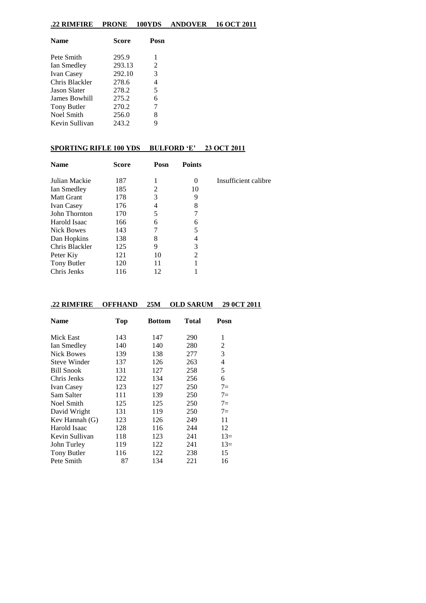## **.22 RIMFIRE PRONE 100YDS ANDOVER 16 OCT 2011**

| <b>Name</b>         | Score  | Posn |
|---------------------|--------|------|
| Pete Smith          | 295.9  | 1    |
| Ian Smedley         | 293.13 | 2    |
| Ivan Casey          | 292.10 | 3    |
| Chris Blackler      | 278.6  | 4    |
| <b>Jason Slater</b> | 278.2  | 5    |
| James Bowhill       | 275.2  | 6    |
| Tony Butler         | 270.2  | 7    |
| <b>Noel Smith</b>   | 256.0  | 8    |
| Kevin Sullivan      | 243.2  | 9    |
|                     |        |      |

## **SPORTING RIFLE 100 YDS BULFORD 'E' 23 OCT 2011**

| <b>Name</b>       | <b>Score</b> | Posn | <b>Points</b>               |                      |
|-------------------|--------------|------|-----------------------------|----------------------|
| Julian Mackie     | 187          |      | $\theta$                    | Insufficient calibre |
| Ian Smedley       | 185          | 2    | 10                          |                      |
| <b>Matt Grant</b> | 178          | 3    | 9                           |                      |
| <b>Ivan Casey</b> | 176          | 4    | 8                           |                      |
| John Thornton     | 170          | 5    |                             |                      |
| Harold Isaac      | 166          | 6    | 6                           |                      |
| Nick Bowes        | 143          | 7    | 5                           |                      |
| Dan Hopkins       | 138          | 8    | 4                           |                      |
| Chris Blackler    | 125          | 9    | 3                           |                      |
| Peter Kiy         | 121          | 10   | $\mathcal{D}_{\mathcal{L}}$ |                      |
| Tony Butler       | 120          | 11   |                             |                      |
| Chris Jenks       | 116          | 12   |                             |                      |

## **.22 RIMFIRE OFFHAND 25M OLD SARUM 29 0CT 2011**

| <b>Name</b>         | <b>Top</b> | <b>Bottom</b> | Total | Posn  |
|---------------------|------------|---------------|-------|-------|
| Mick East           | 143        | 147           | 290   | 1     |
| Ian Smedley         | 140        | 140           | 280   | 2     |
| <b>Nick Bowes</b>   | 139        | 138           | 277   | 3     |
| <b>Steve Winder</b> | 137        | 126           | 263   | 4     |
| <b>Bill Snook</b>   | 131        | 127           | 258   | 5     |
| Chris Jenks         | 122        | 134           | 256   | 6     |
| <b>Ivan Casey</b>   | 123        | 127           | 250   | $7 =$ |
| Sam Salter          | 111        | 139           | 250   | $7=$  |
| <b>Noel Smith</b>   | 125        | 125           | 250   | $7=$  |
| David Wright        | 131        | 119           | 250   | $7=$  |
| Kev Hannah $(G)$    | 123        | 126           | 249   | 11    |
| Harold Isaac        | 128        | 116           | 244   | 12    |
| Kevin Sullivan      | 118        | 123           | 241   | $13=$ |
| John Turley         | 119        | 122           | 241   | $13=$ |
| Tony Butler         | 116        | 122           | 238   | 15    |
| Pete Smith          | 87         | 134           | 221   | 16    |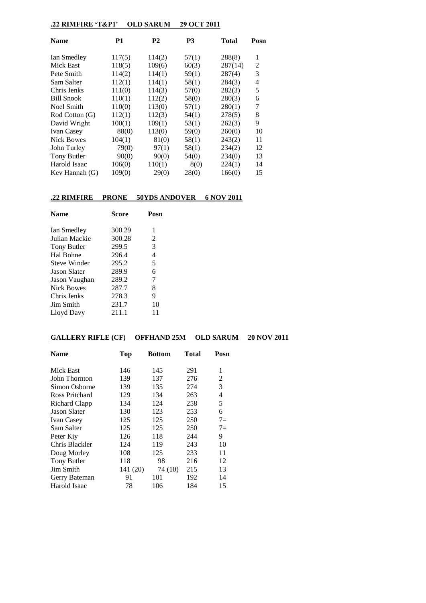## **.22 RIMFIRE 'T&P1' OLD SARUM 29 OCT 2011**

| <b>Name</b>       | P1     | P2     | <b>P3</b> | Total   | Posn |
|-------------------|--------|--------|-----------|---------|------|
| Ian Smedley       | 117(5) | 114(2) | 57(1)     | 288(8)  | 1    |
| Mick East         | 118(5) | 109(6) | 60(3)     | 287(14) | 2    |
| Pete Smith        | 114(2) | 114(1) | 59(1)     | 287(4)  | 3    |
| Sam Salter        | 112(1) | 114(1) | 58(1)     | 284(3)  | 4    |
| Chris Jenks       | 111(0) | 114(3) | 57(0)     | 282(3)  | 5    |
| <b>Bill Snook</b> | 110(1) | 112(2) | 58(0)     | 280(3)  | 6    |
| Noel Smith        | 110(0) | 113(0) | 57(1)     | 280(1)  | 7    |
| Rod Cotton (G)    | 112(1) | 112(3) | 54(1)     | 278(5)  | 8    |
| David Wright      | 100(1) | 109(1) | 53(1)     | 262(3)  | 9    |
| <b>Ivan Casey</b> | 88(0)  | 113(0) | 59(0)     | 260(0)  | 10   |
| <b>Nick Bowes</b> | 104(1) | 81(0)  | 58(1)     | 243(2)  | 11   |
| John Turley       | 79(0)  | 97(1)  | 58(1)     | 234(2)  | 12   |
| Tony Butler       | 90(0)  | 90(0)  | 54(0)     | 234(0)  | 13   |
| Harold Isaac      | 106(0) | 110(1) | 8(0)      | 224(1)  | 14   |
| Kev Hannah $(G)$  | 109(0) | 29(0)  | 28(0)     | 166(0)  | 15   |

## **.22 RIMFIRE PRONE 50YDS ANDOVER 6 NOV 2011**

| <b>Name</b>      | <b>Score</b> | Posn |  |
|------------------|--------------|------|--|
| Ian Smedley      | 300.29       | 1    |  |
| Julian Mackie    | 300.28       | 2    |  |
| Tony Butler      | 299.5        | 3    |  |
| Hal Bohne        | 296.4        | 4    |  |
| Steve Winder     | 295.2        | 5    |  |
| Jason Slater     | 289.9        | 6    |  |
| Jason Vaughan    | 289.2        | 7    |  |
| Nick Bowes       | 287.7        | 8    |  |
| Chris Jenks      | 278.3        | 9    |  |
| <b>Jim Smith</b> | 231.7        | 10   |  |
| Lloyd Davy       | 211.1        | 11   |  |

## **GALLERY RIFLE (CF) OFFHAND 25M OLD SARUM 20 NOV 2011**

| <b>Name</b>         | Top      | <b>Bottom</b> | Total | Posn |
|---------------------|----------|---------------|-------|------|
| Mick East           | 146      | 145           | 291   | 1    |
| John Thornton       | 139      | 137           | 276   | 2    |
| Simon Osborne       | 139      | 135           | 274   | 3    |
| Ross Pritchard      | 129      | 134           | 263   | 4    |
| Richard Clapp       | 134      | 124           | 258   | 5    |
| <b>Jason Slater</b> | 130      | 123           | 253   | 6    |
| <b>Ivan Casey</b>   | 125      | 125           | 250   | $7=$ |
| Sam Salter          | 125      | 125           | 250   | $7=$ |
| Peter Kiy           | 126      | 118           | 244   | 9    |
| Chris Blackler      | 124      | 119           | 243   | 10   |
| Doug Morley         | 108      | 125           | 233   | 11   |
| Tony Butler         | 118      | 98            | 216   | 12   |
| Jim Smith           | 141 (20) | 74 (10)       | 215   | 13   |
| Gerry Bateman       | 91       | 101           | 192   | 14   |
| Harold Isaac        | 78       | 106           | 184   | 15   |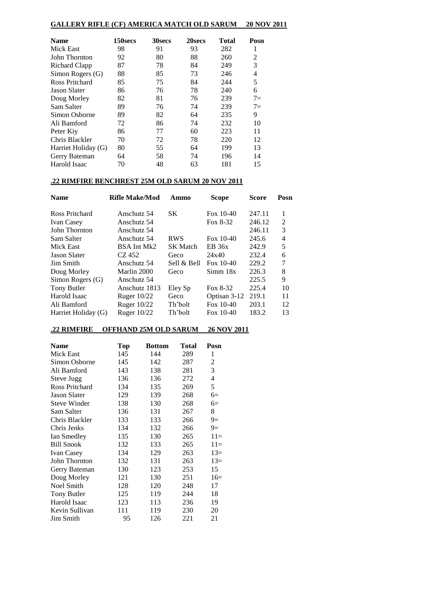## **GALLERY RIFLE (CF) AMERICA MATCH OLD SARUM 20 NOV 2011**

| <b>Name</b>           | 150secs | 30secs | 20secs | Total | Posn |
|-----------------------|---------|--------|--------|-------|------|
| Mick East             | 98      | 91     | 93     | 282   | 1    |
| John Thornton         | 92      | 80     | 88     | 260   | 2    |
| Richard Clapp         | 87      | 78     | 84     | 249   | 3    |
| Simon Rogers (G)      | 88      | 85     | 73     | 246   | 4    |
| <b>Ross Pritchard</b> | 85      | 75     | 84     | 244   | 5    |
| Jason Slater          | 86      | 76     | 78     | 240   | 6    |
| Doug Morley           | 82      | 81     | 76     | 239   | $7=$ |
| Sam Salter            | 89      | 76     | 74     | 239   | $7=$ |
| Simon Osborne         | 89      | 82     | 64     | 235   | 9    |
| Ali Bamford           | 72      | 86     | 74     | 232   | 10   |
| Peter Kiy             | 86      | 77     | 60     | 223   | 11   |
| Chris Blackler        | 70      | 72     | 78     | 220   | 12   |
| Harriet Holiday (G)   | 80      | 55     | 64     | 199   | 13   |
| Gerry Bateman         | 64      | 58     | 74     | 196   | 14   |
| Harold Isaac          | 70      | 48     | 63     | 181   | 15   |

## **.22 RIMFIRE BENCHREST 25M OLD SARUM 20 NOV 2011**

| <b>Name</b>         | <b>Rifle Make/Mod</b> | Ammo            | <b>Scope</b> | <b>Score</b> | Posn |
|---------------------|-----------------------|-----------------|--------------|--------------|------|
| Ross Pritchard      | Anschutz 54           | SK.             | Fox $10-40$  | 247.11       | 1    |
| <b>Ivan Casey</b>   | Anschutz 54           |                 | Fox 8-32     | 246.12       | 2    |
| John Thornton       | Anschutz 54           |                 |              | 246.11       | 3    |
| Sam Salter          | Anschutz 54           | <b>RWS</b>      | Fox $10-40$  | 245.6        | 4    |
| Mick East           | BSA Int Mk2           | <b>SK</b> Match | EB 36x       | 242.9        | 5    |
| <b>Jason Slater</b> | CZ 452                | Geco            | 24x40        | 232.4        | 6    |
| Jim Smith           | Anschutz 54           | Sell & Bell     | Fox $10-40$  | 229.2        | 7    |
| Doug Morley         | Marlin 2000           | Geco            | Simm 18x     | 226.3        | 8    |
| Simon Rogers (G)    | Anschutz 54           |                 |              | 225.5        | 9    |
| Tony Butler         | Anschutz 1813         | Eley Sp         | Fox 8-32     | 225.4        | 10   |
| Harold Isaac        | Ruger $10/22$         | Geco            | Optisan 3-12 | 219.1        | 11   |
| Ali Bamford         | Ruger $10/22$         | Th'bolt         | Fox $10-40$  | 203.1        | 12   |
| Harriet Holiday (G) | Ruger $10/22$         | Th'bolt         | Fox $10-40$  | 183.2        | 13   |

# **.22 RIMFIRE OFFHAND 25M OLD SARUM 26 NOV 2011**

| <b>Name</b>          | Top | <b>Bottom</b> | Total | Posn  |
|----------------------|-----|---------------|-------|-------|
| Mick East            | 145 | 144           | 289   | 1     |
| Simon Osborne        | 145 | 142           | 287   | 2     |
| Ali Bamford          | 143 | 138           | 281   | 3     |
| Steve Jugg           | 136 | 136           | 272   | 4     |
| Ross Pritchard       | 134 | 135           | 269   | 5     |
| <b>Jason Slater</b>  | 129 | 139           | 268   | $6=$  |
| Steve Winder         | 138 | 130           | 268   | $6=$  |
| Sam Salter           | 136 | 131           | 267   | 8     |
| Chris Blackler       | 133 | 133           | 266   | $9=$  |
| Chris Jenks          | 134 | 132           | 266   | $9=$  |
| Ian Smedley          | 135 | 130           | 265   | $11=$ |
| <b>Bill Snook</b>    | 132 | 133           | 265   | $11=$ |
| <b>Ivan Casey</b>    | 134 | 129           | 263   | $13=$ |
| <b>John Thornton</b> | 132 | 131           | 263   | $13=$ |
| Gerry Bateman        | 130 | 123           | 253   | 15    |
| Doug Morley          | 121 | 130           | 251   | $16=$ |
| Noel Smith           | 128 | 120           | 248   | 17    |
| Tony Butler          | 125 | 119           | 244   | 18    |
| Harold Isaac         | 123 | 113           | 236   | 19    |
| Kevin Sullivan       | 111 | 119           | 230   | 20    |
| Jim Smith            | 95  | 126           | 221   | 21    |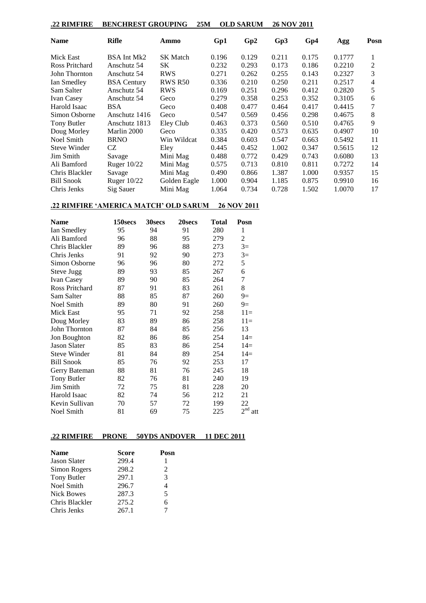## **.22 RIMFIRE BENCHREST GROUPING 25M OLD SARUM 26 NOV 2011**

| <b>Name</b>         | Rifle              | Ammo            | Gp1   | Gp2   | Gp3   | Gp4   | Agg    | Posn |
|---------------------|--------------------|-----------------|-------|-------|-------|-------|--------|------|
| Mick East           | BSA Int Mk2        | <b>SK</b> Match | 0.196 | 0.129 | 0.211 | 0.175 | 0.1777 |      |
| Ross Pritchard      | Anschutz 54        | SK              | 0.232 | 0.293 | 0.173 | 0.186 | 0.2210 | 2    |
| John Thornton       | Anschutz 54        | <b>RWS</b>      | 0.271 | 0.262 | 0.255 | 0.143 | 0.2327 | 3    |
| Ian Smedley         | <b>BSA</b> Century | <b>RWS R50</b>  | 0.336 | 0.210 | 0.250 | 0.211 | 0.2517 | 4    |
| Sam Salter          | Anschutz 54        | <b>RWS</b>      | 0.169 | 0.251 | 0.296 | 0.412 | 0.2820 | 5    |
| <b>Ivan Casey</b>   | Anschutz 54        | Geco            | 0.279 | 0.358 | 0.253 | 0.352 | 0.3105 | 6    |
| Harold Isaac        | <b>BSA</b>         | Geco            | 0.408 | 0.477 | 0.464 | 0.417 | 0.4415 | 7    |
| Simon Osborne       | Anschutz 1416      | Geco            | 0.547 | 0.569 | 0.456 | 0.298 | 0.4675 | 8    |
| Tony Butler         | Anschutz 1813      | Eley Club       | 0.463 | 0.373 | 0.560 | 0.510 | 0.4765 | 9    |
| Doug Morley         | Marlin 2000        | Geco            | 0.335 | 0.420 | 0.573 | 0.635 | 0.4907 | 10   |
| Noel Smith          | <b>BRNO</b>        | Win Wildcat     | 0.384 | 0.603 | 0.547 | 0.663 | 0.5492 | 11   |
| <b>Steve Winder</b> | CZ                 | Eley            | 0.445 | 0.452 | 1.002 | 0.347 | 0.5615 | 12   |
| Jim Smith           | Savage             | Mini Mag        | 0.488 | 0.772 | 0.429 | 0.743 | 0.6080 | 13   |
| Ali Bamford         | Ruger $10/22$      | Mini Mag        | 0.575 | 0.713 | 0.810 | 0.811 | 0.7272 | 14   |
| Chris Blackler      | Savage             | Mini Mag        | 0.490 | 0.866 | 1.387 | 1.000 | 0.9357 | 15   |
| <b>Bill Snook</b>   | Ruger $10/22$      | Golden Eagle    | 1.000 | 0.904 | 1.185 | 0.875 | 0.9910 | 16   |
| Chris Jenks         | Sig Sauer          | Mini Mag        | 1.064 | 0.734 | 0.728 | 1.502 | 1.0070 | 17   |

#### **.22 RIMFIRE 'AMERICA MATCH' OLD SARUM 26 NOV 2011**

| <b>Name</b>         | 150secs | 30secs | 20secs | <b>Total</b> | Posn                   |
|---------------------|---------|--------|--------|--------------|------------------------|
| Ian Smedley         | 95      | 94     | 91     | 280          | 1                      |
| Ali Bamford         | 96      | 88     | 95     | 279          | 2                      |
| Chris Blackler      | 89      | 96     | 88     | 273          | $3=$                   |
| Chris Jenks         | 91      | 92     | 90     | 273          | $3=$                   |
| Simon Osborne       | 96      | 96     | 80     | 272          | 5                      |
| <b>Steve Jugg</b>   | 89      | 93     | 85     | 267          | 6                      |
| <b>Ivan Casey</b>   | 89      | 90     | 85     | 264          | 7                      |
| Ross Pritchard      | 87      | 91     | 83     | 261          | 8                      |
| Sam Salter          | 88      | 85     | 87     | 260          | $9=$                   |
| Noel Smith          | 89      | 80     | 91     | 260          | $9=$                   |
| <b>Mick East</b>    | 95      | 71     | 92     | 258          | $11=$                  |
| Doug Morley         | 83      | 89     | 86     | 258          | $11=$                  |
| John Thornton       | 87      | 84     | 85     | 256          | 13                     |
| Jon Boughton        | 82      | 86     | 86     | 254          | $14=$                  |
| <b>Jason Slater</b> | 85      | 83     | 86     | 254          | $14=$                  |
| Steve Winder        | 81      | 84     | 89     | 254          | $14=$                  |
| <b>Bill Snook</b>   | 85      | 76     | 92     | 253          | 17                     |
| Gerry Bateman       | 88      | 81     | 76     | 245          | 18                     |
| Tony Butler         | 82      | 76     | 81     | 240          | 19                     |
| Jim Smith           | 72      | 75     | 81     | 228          | 20                     |
| Harold Isaac        | 82      | 74     | 56     | 212          | 21                     |
| Kevin Sullivan      | 70      | 57     | 72     | 199          | 22                     |
| Noel Smith          | 81      | 69     | 75     | 225          | 2 <sup>nd</sup><br>att |

## **.22 RIMFIRE PRONE 50YDS ANDOVER 11 DEC 2011**

| <b>Name</b>         | Score | Posn |
|---------------------|-------|------|
| <b>Jason Slater</b> | 299.4 | 1    |
| Simon Rogers        | 298.2 | 2    |
| Tony Butler         | 297.1 | 3    |
| Noel Smith          | 296.7 | 4    |
| <b>Nick Bowes</b>   | 287.3 | 5    |
| Chris Blackler      | 275.2 | 6    |
| Chris Jenks         | 267.1 |      |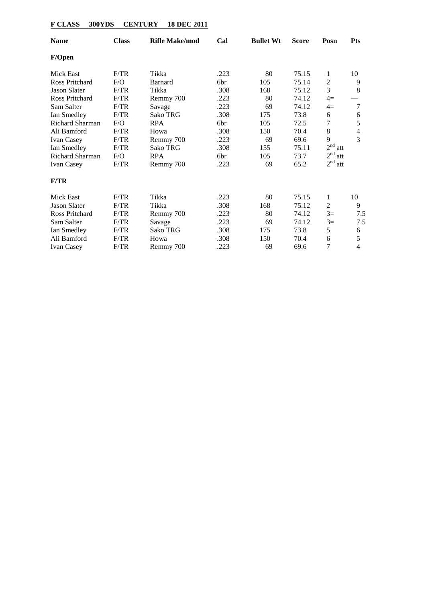# **F CLASS 300YDS CENTURY 18 DEC 2011**

| <b>Name</b>            | <b>Class</b> | <b>Rifle Make/mod</b> | Cal  | <b>Bullet Wt</b> | <b>Score</b> | Posn                   | <b>Pts</b>     |
|------------------------|--------------|-----------------------|------|------------------|--------------|------------------------|----------------|
| F/Open                 |              |                       |      |                  |              |                        |                |
| Mick East              | F/TR         | Tikka                 | .223 | 80               | 75.15        | 1                      | 10             |
| Ross Pritchard         | F/O          | <b>Barnard</b>        | 6br  | 105              | 75.14        | $\overline{2}$         | 9              |
| <b>Jason Slater</b>    | F/TR         | Tikka                 | .308 | 168              | 75.12        | 3                      | 8              |
| Ross Pritchard         | F/TR         | Remmy 700             | .223 | 80               | 74.12        | $4=$                   |                |
| Sam Salter             | F/TR         | Savage                | .223 | 69               | 74.12        | $4=$                   | 7              |
| Ian Smedley            | F/TR         | Sako TRG              | .308 | 175              | 73.8         | 6                      | 6              |
| <b>Richard Sharman</b> | F/O          | <b>RPA</b>            | 6br  | 105              | 72.5         | 7                      | 5              |
| Ali Bamford            | F/TR         | Howa                  | .308 | 150              | 70.4         | 8                      | 4              |
| <b>Ivan Casey</b>      | F/TR         | Remmy 700             | .223 | 69               | 69.6         | 9                      | 3              |
| Ian Smedley            | F/TR         | Sako TRG              | .308 | 155              | 75.11        | 2 <sup>nd</sup><br>att |                |
| Richard Sharman        | F/O          | <b>RPA</b>            | 6br  | 105              | 73.7         | 2 <sup>nd</sup><br>att |                |
| <b>Ivan Casey</b>      | F/TR         | Remmy 700             | .223 | 69               | 65.2         | 2 <sup>nd</sup><br>att |                |
| F/TR                   |              |                       |      |                  |              |                        |                |
| <b>Mick East</b>       | F/TR         | Tikka                 | .223 | 80               | 75.15        | 1                      | 10             |
| <b>Jason Slater</b>    | F/TR         | Tikka                 | .308 | 168              | 75.12        | 2                      | 9              |
| <b>Ross Pritchard</b>  | F/TR         | Remmy 700             | .223 | 80               | 74.12        | $3=$                   | 7.5            |
| Sam Salter             | F/TR         | Savage                | .223 | 69               | 74.12        | $3=$                   | 7.5            |
| Ian Smedley            | F/TR         | Sako TRG              | .308 | 175              | 73.8         | 5                      | 6              |
| Ali Bamford            | F/TR         | Howa                  | .308 | 150              | 70.4         | 6                      | 5              |
| <b>Ivan Casey</b>      | F/TR         | Remmy 700             | .223 | 69               | 69.6         | 7                      | $\overline{4}$ |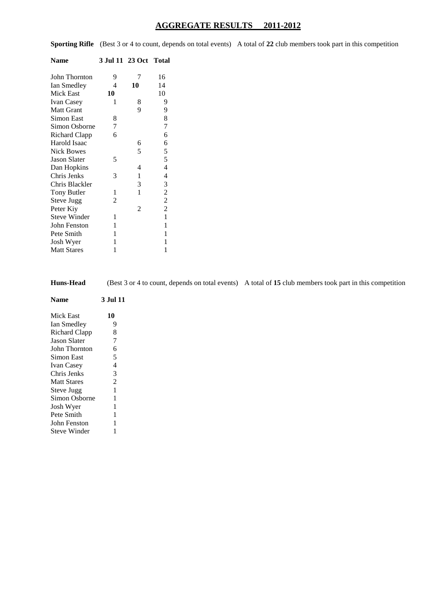## **AGGREGATE RESULTS 2011-2012**

**Sporting Rifle** (Best 3 or 4 to count, depends on total events) A total of 22 club members took part in this competition

| Name                 | 3 Jul 11 23 Oct Total |                |                          |
|----------------------|-----------------------|----------------|--------------------------|
| <b>John Thornton</b> | 9                     | 7              | 16                       |
| Ian Smedley          | 4                     | 10             | 14                       |
| <b>Mick East</b>     | 10                    |                | 10                       |
| <b>Ivan Casey</b>    | 1                     | 8              | 9                        |
| <b>Matt Grant</b>    |                       | 9              | 9                        |
| Simon East           | 8                     |                | 8                        |
| Simon Osborne        | 7                     |                | $\overline{7}$           |
| Richard Clapp        | 6                     |                | 6                        |
| Harold Isaac         |                       | 6              |                          |
| <b>Nick Bowes</b>    |                       | 5              |                          |
| <b>Jason Slater</b>  | 5                     |                | $rac{6}{5}$              |
| Dan Hopkins          |                       | 4              | $\overline{4}$           |
| Chris Jenks          | 3                     | 1              | $\overline{\mathcal{L}}$ |
| Chris Blackler       |                       | 3              | 3                        |
| <b>Tony Butler</b>   | 1                     | 1              | $\frac{2}{2}$            |
| Steve Jugg           | 2                     |                |                          |
| Peter Kiy            |                       | $\mathfrak{D}$ | $\overline{2}$           |
| <b>Steve Winder</b>  | 1                     |                | $\mathbf{1}$             |
| John Fenston         | 1                     |                | $\mathbf{1}$             |
| Pete Smith           | 1                     |                | 1                        |
| Josh Wyer            | 1                     |                | 1                        |
| <b>Matt Stares</b>   | 1                     |                | 1                        |

**Huns-Head** (Best 3 or 4 to count, depends on total events)A total of **15** club members took part in this competition

| <b>Name</b>         | <b>3 Jul 11</b> |
|---------------------|-----------------|
| Mick East           | 10              |
| Ian Smedley         | 9               |
| Richard Clapp       | 8               |
| <b>Jason Slater</b> | 7               |
| John Thornton       | 6               |
| Simon East          | 5               |
| <b>Ivan Casey</b>   | $\overline{4}$  |
| Chris Jenks         | 3               |
| <b>Matt Stares</b>  | $\overline{2}$  |
| Steve Jugg          | 1               |
| Simon Osborne       | 1               |
| Josh Wyer           | 1               |
| Pete Smith          | 1               |
| John Fenston        | 1               |
| <b>Steve Winder</b> | 1               |
|                     |                 |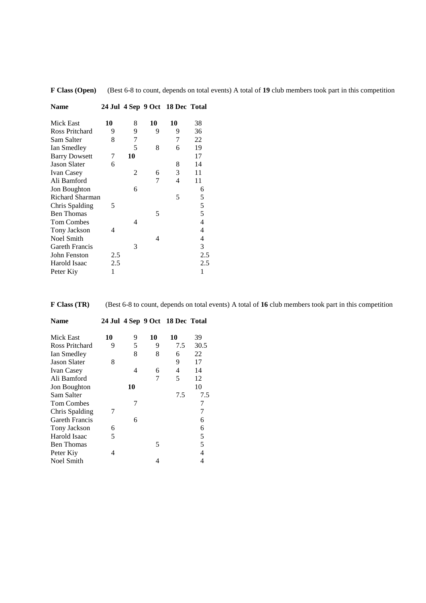| Name                 |     |    |    | 24 Jul 4 Sep 9 Oct 18 Dec Total |                          |
|----------------------|-----|----|----|---------------------------------|--------------------------|
| Mick East            | 10  | 8  | 10 | 10                              | 38                       |
| Ross Pritchard       | 9   | 9  | 9  | 9                               | 36                       |
| Sam Salter           | 8   | 7  |    | 7                               | 22                       |
| Ian Smedley          |     | 5  | 8  | 6                               | 19                       |
| <b>Barry Dowsett</b> | 7   | 10 |    |                                 | 17                       |
| <b>Jason Slater</b>  | 6   |    |    | 8                               | 14                       |
| <b>Ivan Casey</b>    |     | 2  | 6  | 3                               | 11                       |
| Ali Bamford          |     |    | 7  | 4                               | 11                       |
| <b>Jon Boughton</b>  |     | 6  |    |                                 | 6                        |
| Richard Sharman      |     |    |    | 5                               |                          |
| Chris Spalding       | 5   |    |    |                                 | $\frac{5}{5}$            |
| <b>Ben Thomas</b>    |     |    | 5  |                                 |                          |
| <b>Tom Combes</b>    |     | 4  |    |                                 | $\overline{\mathcal{L}}$ |
| Tony Jackson         | 4   |    |    |                                 | $\overline{4}$           |
| <b>Noel Smith</b>    |     |    | 4  |                                 | 4                        |
| Gareth Francis       |     | 3  |    |                                 | 3                        |
| John Fenston         | 2.5 |    |    |                                 | 2.5                      |
| Harold Isaac         | 2.5 |    |    |                                 | 2.5                      |
| Peter Kiy            | 1   |    |    |                                 | 1                        |
|                      |     |    |    |                                 |                          |

**F Class (Open)** (Best 6-8 to count, depends on total events) A total of **19** club members took part in this competition

**F Class (TR)** (Best 6-8 to count, depends on total events) A total of **16** club members took part in this competition

| Name                |    |    |    | 24 Jul 4 Sep 9 Oct 18 Dec Total |      |
|---------------------|----|----|----|---------------------------------|------|
| Mick East           | 10 | 9  | 10 | 10                              | 39   |
| Ross Pritchard      | 9  | 5  | 9  | 7.5                             | 30.5 |
| Ian Smedley         |    | 8  | 8  | 6                               | 22   |
| <b>Jason Slater</b> | 8  |    |    | 9                               | 17   |
| <b>Ivan Casey</b>   |    | 4  | 6  | 4                               | 14   |
| Ali Bamford         |    |    | 7  | 5                               | 12   |
| Jon Boughton        |    | 10 |    |                                 | 10   |
| Sam Salter          |    |    |    | 7.5                             | 7.5  |
| <b>Tom Combes</b>   |    | 7  |    |                                 | 7    |
| Chris Spalding      |    |    |    |                                 | 7    |
| Gareth Francis      |    | 6  |    |                                 | 6    |
| Tony Jackson        | 6  |    |    |                                 | 6    |
| Harold Isaac        | 5  |    |    |                                 | 5    |
| <b>Ben Thomas</b>   |    |    | 5  |                                 | 5    |
| Peter Kiy           | 4  |    |    |                                 | 4    |
| Noel Smith          |    |    | 4  |                                 | 4    |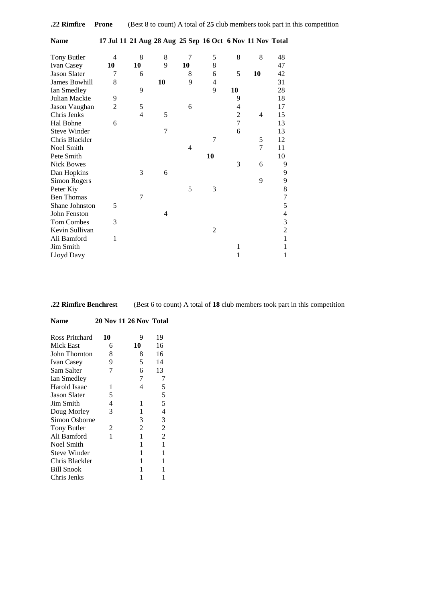| .22 Rimfire Prone |  |  |  | (Best 8 to count) A total of 25 club members took part in this competition |  |
|-------------------|--|--|--|----------------------------------------------------------------------------|--|
|-------------------|--|--|--|----------------------------------------------------------------------------|--|

**Name 17 Jul 11 21 Aug 28 Aug 25 Sep 16 Oct 6 Nov 11 Nov Total**

| Tony Butler         | $\overline{4}$ | 8  | 8  | 7  | 5              | 8      | 8  | 48                       |
|---------------------|----------------|----|----|----|----------------|--------|----|--------------------------|
| Ivan Casey          | 10             | 10 | 9  | 10 | 8              |        |    | 47                       |
| <b>Jason Slater</b> | 7              | 6  |    | 8  | 6              | 5      | 10 | 42                       |
| James Bowhill       | 8              |    | 10 | 9  | 4              |        |    | 31                       |
| Ian Smedley         |                | 9  |    |    | 9              | 10     |    | 28                       |
| Julian Mackie       | 9              |    |    |    |                | 9      |    | 18                       |
| Jason Vaughan       | $\overline{2}$ | 5  |    | 6  |                | 4      |    | 17                       |
| Chris Jenks         |                | 4  | 5  |    |                | 2      | 4  | 15                       |
| Hal Bohne           | 6              |    |    |    |                | $\tau$ |    | 13                       |
| <b>Steve Winder</b> |                |    | 7  |    |                | 6      |    | 13                       |
| Chris Blackler      |                |    |    |    | 7              |        | 5  | 12                       |
| Noel Smith          |                |    |    | 4  |                |        | 7  | 11                       |
| Pete Smith          |                |    |    |    | 10             |        |    | 10                       |
| <b>Nick Bowes</b>   |                |    |    |    |                | 3      | 6  | 9                        |
| Dan Hopkins         |                | 3  | 6  |    |                |        |    | 9                        |
| Simon Rogers        |                |    |    |    |                |        | 9  | 9                        |
| Peter Kiy           |                |    |    | 5  | 3              |        |    | 8                        |
| <b>Ben Thomas</b>   |                | 7  |    |    |                |        |    | $\overline{7}$           |
| Shane Johnston      | 5              |    |    |    |                |        |    | 5                        |
| John Fenston        |                |    | 4  |    |                |        |    | $\overline{\mathcal{A}}$ |
| Tom Combes          | 3              |    |    |    |                |        |    | $\mathfrak 3$            |
| Kevin Sullivan      |                |    |    |    | $\overline{2}$ |        |    | $\overline{2}$           |
| Ali Bamford         | 1              |    |    |    |                |        |    | $\mathbf{1}$             |
| Jim Smith           |                |    |    |    |                | 1      |    | 1                        |
| Lloyd Davy          |                |    |    |    |                | 1      |    | 1                        |

**.22 Rimfire Benchrest** (Best 6 to count) A total of **18** club members took part in this competition

| Ross Pritchard      | 10 | 9  | 19             |
|---------------------|----|----|----------------|
| Mick East           | 6  | 10 | 16             |
| John Thornton       | 8  | 8  | 16             |
| <b>Ivan Casey</b>   | 9  | 5  | 14             |
| Sam Salter          | 7  | 6  | 13             |
| Ian Smedley         |    | 7  |                |
| Harold Isaac        | 1  | 4  | 5              |
| <b>Jason Slater</b> | 5  |    | 5              |
| Jim Smith           | 4  | 1  | 5              |
| Doug Morley         | 3  | 1  | $\overline{4}$ |
| Simon Osborne       |    | 3  | 3              |
| <b>Tony Butler</b>  | 2  | 2  | $\overline{2}$ |
| Ali Bamford         | 1  | 1  | $\overline{2}$ |
| Noel Smith          |    | 1  | 1              |
| <b>Steve Winder</b> |    | 1  | 1              |
| Chris Blackler      |    | 1  | 1              |
| <b>Bill Snook</b>   |    | 1  | 1              |
| Chris Jenks         |    |    |                |

**Name 20 Nov 11 26 Nov Total**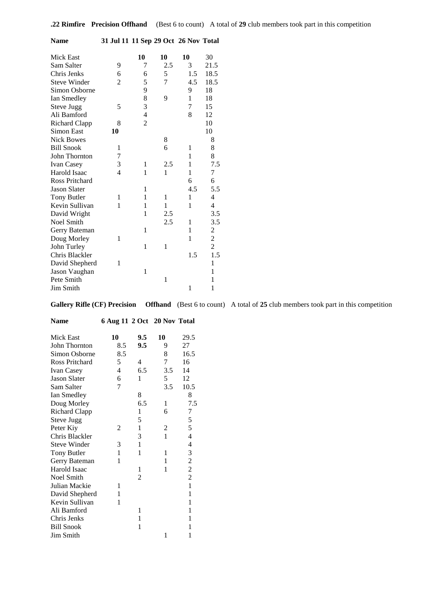| Name                  | 31 Jul 11 11 Sep 29 Oct 26 Nov Total |                |                |              |                  |
|-----------------------|--------------------------------------|----------------|----------------|--------------|------------------|
| Mick East             |                                      | 10             | 10             | 10           | 30               |
| Sam Salter            | 9                                    | 7              | 2.5            | 3            | 21.5             |
| Chris Jenks           | 6                                    | 6              | 5              | 1.5          | 18.5             |
| <b>Steve Winder</b>   | $\overline{2}$                       | 5              | $\overline{7}$ | 4.5          | 18.5             |
| Simon Osborne         |                                      | 9              |                | 9            | 18               |
| Ian Smedley           |                                      | 8              | 9              | $\mathbf{1}$ | 18               |
| <b>Steve Jugg</b>     | 5                                    | 3              |                | 7            | 15               |
| Ali Bamford           |                                      | $\overline{4}$ |                | 8            | 12               |
| <b>Richard Clapp</b>  | 8                                    | $\overline{2}$ |                |              | 10               |
| Simon East            | 10                                   |                |                |              | 10               |
| <b>Nick Bowes</b>     |                                      |                | 8              |              | 8                |
| <b>Bill Snook</b>     | 1                                    |                | 6              | 1            | 8                |
| John Thornton         | 7                                    |                |                | $\mathbf{1}$ | 8                |
| Ivan Casey            | $\mathfrak{Z}$                       | 1              | 2.5            | 1            | 7.5              |
| Harold Isaac          | $\overline{4}$                       | 1              | $\mathbf{1}$   | $\mathbf{1}$ | $\boldsymbol{7}$ |
| <b>Ross Pritchard</b> |                                      |                |                | 6            | 6                |
| <b>Jason Slater</b>   |                                      | 1              |                | 4.5          | 5.5              |
| <b>Tony Butler</b>    | 1                                    | 1              | 1              | $\mathbf{1}$ | $\overline{4}$   |
| Kevin Sullivan        | 1                                    | 1              | $\mathbf{1}$   | $\mathbf{1}$ | $\overline{4}$   |
| David Wright          |                                      | 1              | 2.5            |              | 3.5              |
| Noel Smith            |                                      |                | 2.5            | 1            | 3.5              |
| Gerry Bateman         |                                      | 1              |                | 1            | $\frac{2}{2}$    |
| Doug Morley           | 1                                    |                |                | 1            |                  |
| John Turley           |                                      | $\mathbf{1}$   | 1              |              | $\overline{c}$   |
| Chris Blackler        |                                      |                |                | 1.5          | 1.5              |
| David Shepherd        | 1                                    |                |                |              | $\mathbf{1}$     |
| Jason Vaughan         |                                      | 1              |                |              | $\mathbf{1}$     |
| Pete Smith            |                                      |                | 1              |              | 1                |
| Jim Smith             |                                      |                |                | $\mathbf{1}$ | $\mathbf{1}$     |

**Gallery Rifle (CF) Precision Offhand** (Best 6 to count) A total of **25** club members took part in this competition

| <b>Name</b>           | 6 Aug 11 2 Oct 20 Nov Total |                |     |                          |
|-----------------------|-----------------------------|----------------|-----|--------------------------|
| Mick East             | 10                          | 9.5            | 10  | 29.5                     |
| John Thornton         | 8.5                         | 9.5            | 9   | 27                       |
| Simon Osborne         | 8.5                         |                | 8   | 16.5                     |
| <b>Ross Pritchard</b> | 5                           | 4              | 7   | 16                       |
| Ivan Casey            | 4                           | 6.5            | 3.5 | 14                       |
| <b>Jason Slater</b>   | 6                           | 1              | 5   | 12                       |
| Sam Salter            | 7                           |                | 3.5 | 10.5                     |
| Ian Smedley           |                             | 8              |     | 8                        |
| Doug Morley           |                             | 6.5            | 1   | 7.5                      |
| <b>Richard Clapp</b>  |                             | 1              | 6   | 7                        |
| Steve Jugg            |                             | 5              |     | 5                        |
| Peter Kiy             | 2                           | 1              | 2   | 5                        |
| Chris Blackler        |                             | 3              | 1   | 4                        |
| <b>Steve Winder</b>   | 3                           | 1              |     | $\overline{\mathcal{L}}$ |
| <b>Tony Butler</b>    | 1                           | 1              | 1   | 3                        |
| Gerry Bateman         | 1                           |                | 1   | $\overline{c}$           |
| Harold Isaac          |                             | 1              | 1   | $\overline{c}$           |
| Noel Smith            |                             | $\overline{c}$ |     | $\overline{c}$           |
| Julian Mackie         | 1                           |                |     | $\mathbf{1}$             |
| David Shepherd        | 1                           |                |     | $\mathbf{1}$             |
| Kevin Sullivan        | 1                           |                |     | 1                        |
| Ali Bamford           |                             | 1              |     | 1                        |
| Chris Jenks           |                             | 1              |     | 1                        |
| <b>Bill Snook</b>     |                             | 1              |     | 1                        |
| Jim Smith             |                             |                | 1   | 1                        |